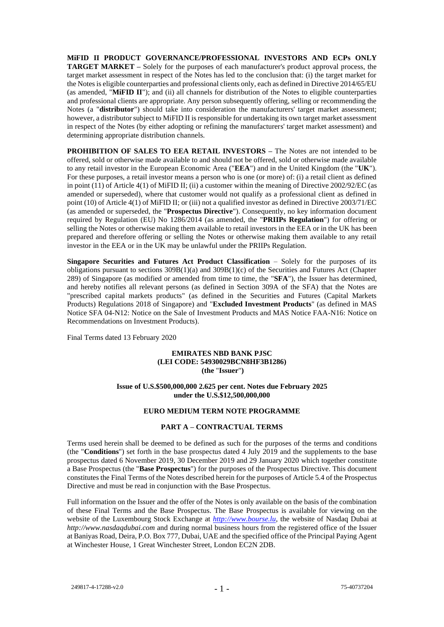**MiFID II PRODUCT GOVERNANCE/PROFESSIONAL INVESTORS AND ECPs ONLY TARGET MARKET –** Solely for the purposes of each manufacturer's product approval process, the target market assessment in respect of the Notes has led to the conclusion that: (i) the target market for the Notes is eligible counterparties and professional clients only, each as defined in Directive 2014/65/EU (as amended, "**MiFID II**"); and (ii) all channels for distribution of the Notes to eligible counterparties and professional clients are appropriate. Any person subsequently offering, selling or recommending the Notes (a "**distributor**") should take into consideration the manufacturers' target market assessment; however, a distributor subject to MiFID II is responsible for undertaking its own target market assessment in respect of the Notes (by either adopting or refining the manufacturers' target market assessment) and determining appropriate distribution channels.

**PROHIBITION OF SALES TO EEA RETAIL INVESTORS –** The Notes are not intended to be offered, sold or otherwise made available to and should not be offered, sold or otherwise made available to any retail investor in the European Economic Area ("**EEA**") and in the United Kingdom (the "**UK**"). For these purposes, a retail investor means a person who is one (or more) of: (i) a retail client as defined in point (11) of Article 4(1) of MiFID II; (ii) a customer within the meaning of Directive 2002/92/EC (as amended or superseded), where that customer would not qualify as a professional client as defined in point (10) of Article 4(1) of MiFID II; or (iii) not a qualified investor as defined in Directive 2003/71/EC (as amended or superseded, the "**Prospectus Directive**"). Consequently, no key information document required by Regulation (EU) No 1286/2014 (as amended, the "**PRIIPs Regulation**") for offering or selling the Notes or otherwise making them available to retail investors in the EEA or in the UK has been prepared and therefore offering or selling the Notes or otherwise making them available to any retail investor in the EEA or in the UK may be unlawful under the PRIIPs Regulation.

**Singapore Securities and Futures Act Product Classification** – Solely for the purposes of its obligations pursuant to sections 309B(1)(a) and 309B(1)(c) of the Securities and Futures Act (Chapter 289) of Singapore (as modified or amended from time to time, the "**SFA**"), the Issuer has determined, and hereby notifies all relevant persons (as defined in Section 309A of the SFA) that the Notes are "prescribed capital markets products" (as defined in the Securities and Futures (Capital Markets Products) Regulations 2018 of Singapore) and "**Excluded Investment Products**" (as defined in MAS Notice SFA 04-N12: Notice on the Sale of Investment Products and MAS Notice FAA-N16: Notice on Recommendations on Investment Products).

Final Terms dated 13 February 2020

### **EMIRATES NBD BANK PJSC (LEI CODE: 54930029BCN8HF3B1286) (the** "**Issuer**"**)**

### **Issue of U.S.\$500,000,000 2.625 per cent. Notes due February 2025 under the U.S.\$12,500,000,000**

# **EURO MEDIUM TERM NOTE PROGRAMME**

## **PART A – CONTRACTUAL TERMS**

Terms used herein shall be deemed to be defined as such for the purposes of the terms and conditions (the "**Conditions**") set forth in the base prospectus dated 4 July 2019 and the supplements to the base prospectus dated 6 November 2019, 30 December 2019 and 29 January 2020 which together constitute a Base Prospectus (the "**Base Prospectus**") for the purposes of the Prospectus Directive. This document constitutes the Final Terms of the Notes described herein for the purposes of Article 5.4 of the Prospectus Directive and must be read in conjunction with the Base Prospectus.

Full information on the Issuer and the offer of the Notes is only available on the basis of the combination of these Final Terms and the Base Prospectus. The Base Prospectus is available for viewing on the website of the Luxembourg Stock Exchange at *[http://www.bourse.lu,](http://www.bourse.lu/)* the website of Nasdaq Dubai at *http://www.nasdaqdubai.com* and during normal business hours from the registered office of the Issuer at Baniyas Road, Deira, P.O. Box 777, Dubai, UAE and the specified office of the Principal Paying Agent at Winchester House, 1 Great Winchester Street, London EC2N 2DB.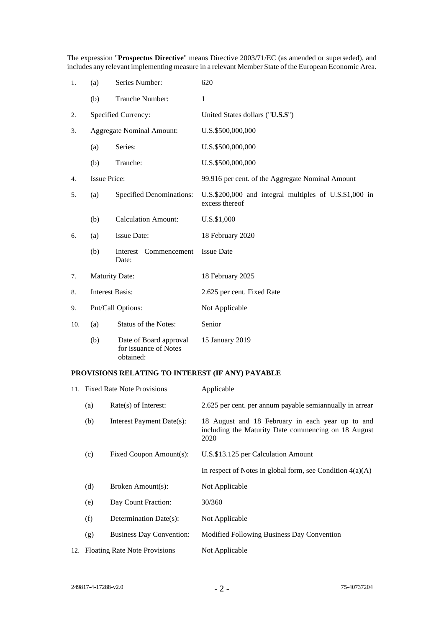The expression "**Prospectus Directive**" means Directive 2003/71/EC (as amended or superseded), and includes any relevant implementing measure in a relevant Member State of the European Economic Area.

| 1.  | (a)                              | Series Number:                                               | 620                                                                      |  |  |
|-----|----------------------------------|--------------------------------------------------------------|--------------------------------------------------------------------------|--|--|
|     | (b)                              | Tranche Number:                                              | 1                                                                        |  |  |
| 2.  | Specified Currency:              |                                                              | United States dollars ("U.S.\$")                                         |  |  |
| 3.  | <b>Aggregate Nominal Amount:</b> |                                                              | U.S.\$500,000,000                                                        |  |  |
|     | (a)                              | Series:                                                      | U.S.\$500,000,000                                                        |  |  |
|     | (b)                              | Tranche:                                                     | U.S.\$500,000,000                                                        |  |  |
| 4.  | <b>Issue Price:</b>              |                                                              | 99.916 per cent. of the Aggregate Nominal Amount                         |  |  |
| 5.  | (a)                              | <b>Specified Denominations:</b>                              | U.S.\$200,000 and integral multiples of U.S.\$1,000 in<br>excess thereof |  |  |
|     | (b)                              | <b>Calculation Amount:</b>                                   | U.S.\$1,000                                                              |  |  |
| 6.  | (a)                              | <b>Issue Date:</b>                                           | 18 February 2020                                                         |  |  |
|     | (b)                              | Interest Commencement<br>Date:                               | <b>Issue Date</b>                                                        |  |  |
| 7.  | <b>Maturity Date:</b>            |                                                              | 18 February 2025                                                         |  |  |
| 8.  | <b>Interest Basis:</b>           |                                                              | 2.625 per cent. Fixed Rate                                               |  |  |
| 9.  | Put/Call Options:                |                                                              | Not Applicable                                                           |  |  |
| 10. | (a)                              | <b>Status of the Notes:</b>                                  | Senior                                                                   |  |  |
|     | (b)                              | Date of Board approval<br>for issuance of Notes<br>obtained: | 15 January 2019                                                          |  |  |

# **PROVISIONS RELATING TO INTEREST (IF ANY) PAYABLE**

| 11. Fixed Rate Note Provisions    |                                 | Applicable                                                                                                      |  |  |
|-----------------------------------|---------------------------------|-----------------------------------------------------------------------------------------------------------------|--|--|
| (a)                               | $Rate(s)$ of Interest:          | 2.625 per cent. per annum payable semian nually in arrear                                                       |  |  |
| (b)                               | Interest Payment Date(s):       | 18 August and 18 February in each year up to and<br>including the Maturity Date commencing on 18 August<br>2020 |  |  |
| (c)                               | Fixed Coupon Amount(s):         | U.S.\$13.125 per Calculation Amount                                                                             |  |  |
|                                   |                                 | In respect of Notes in global form, see Condition $4(a)(A)$                                                     |  |  |
| (d)                               | Broken Amount(s):               | Not Applicable                                                                                                  |  |  |
| (e)                               | Day Count Fraction:             | 30/360                                                                                                          |  |  |
| (f)                               | Determination Date(s):          | Not Applicable                                                                                                  |  |  |
| (g)                               | <b>Business Day Convention:</b> | Modified Following Business Day Convention                                                                      |  |  |
| 12. Floating Rate Note Provisions |                                 | Not Applicable                                                                                                  |  |  |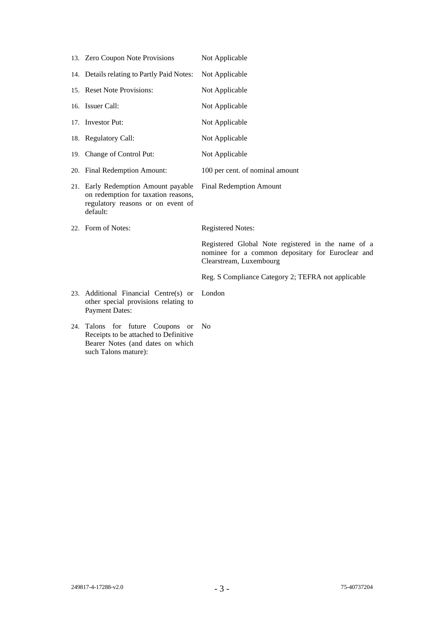| 13. Zero Coupon Note Provisions                                                                                                       | Not Applicable                                                                                                                     |
|---------------------------------------------------------------------------------------------------------------------------------------|------------------------------------------------------------------------------------------------------------------------------------|
| 14. Details relating to Partly Paid Notes:                                                                                            | Not Applicable                                                                                                                     |
| 15. Reset Note Provisions:                                                                                                            | Not Applicable                                                                                                                     |
| 16. Issuer Call:                                                                                                                      | Not Applicable                                                                                                                     |
| 17. Investor Put:                                                                                                                     | Not Applicable                                                                                                                     |
| 18. Regulatory Call:                                                                                                                  | Not Applicable                                                                                                                     |
| 19. Change of Control Put:                                                                                                            | Not Applicable                                                                                                                     |
| 20. Final Redemption Amount:                                                                                                          | 100 per cent. of nominal amount                                                                                                    |
| 21. Early Redemption Amount payable<br>on redemption for taxation reasons,<br>regulatory reasons or on event of<br>default:           | <b>Final Redemption Amount</b>                                                                                                     |
| 22. Form of Notes:                                                                                                                    | <b>Registered Notes:</b>                                                                                                           |
|                                                                                                                                       | Registered Global Note registered in the name of a<br>nominee for a common depositary for Euroclear and<br>Clearstream, Luxembourg |
|                                                                                                                                       | Reg. S Compliance Category 2; TEFRA not applicable                                                                                 |
| 23. Additional Financial Centre(s) or<br>other special provisions relating to<br><b>Payment Dates:</b>                                | London                                                                                                                             |
| 24. Talons for future Coupons or<br>Receipts to be attached to Definitive<br>Bearer Notes (and dates on which<br>such Talons mature): | N <sub>0</sub>                                                                                                                     |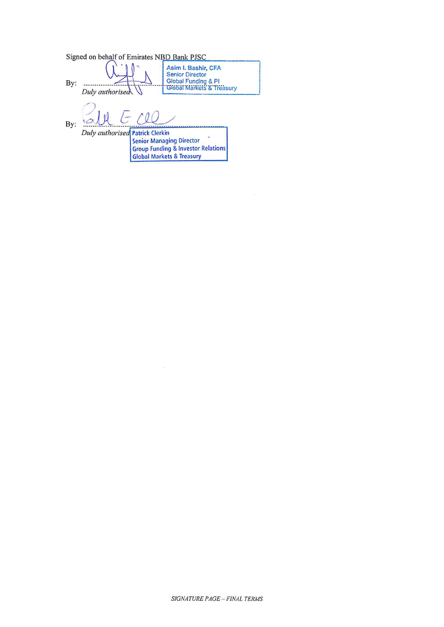Signed on behalf of Emirates NBD Bank PJSC Asim I. Bashir, CFA<br>Senior Director<br>Global Funding & Pl<br>"Global Markets & Treasury By:  $\frac{1}{2}$ Duly authorised  $\theta$ L ٩ć By: Duly authorised Patrick Clerkin **Senior Managing Director Group Funding & Investor Relations<br>Global Markets & Treasury** 

 $\tilde{\mathcal{Z}}_1$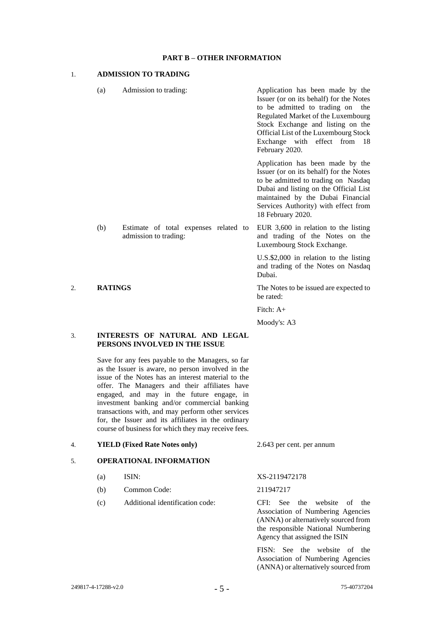### **PART B – OTHER INFORMATION**

### 1. **ADMISSION TO TRADING**

- (a) Admission to trading: Application has been made by the Issuer (or on its behalf) for the Notes to be admitted to trading on the Regulated Market of the Luxembourg Stock Exchange and listing on the Official List of the Luxembourg Stock Exchange with effect from 18 February 2020. Application has been made by the Issuer (or on its behalf) for the Notes to be admitted to trading on Nasdaq Dubai and listing on the Official List maintained by the Dubai Financial Services Authority) with effect from 18 February 2020. (b) Estimate of total expenses related to EUR 3,600 in relation to the listing
- admission to trading:

and trading of the Notes on the Luxembourg Stock Exchange.

> U.S.\$2,000 in relation to the listing and trading of the Notes on Nasdaq Dubai.

2. **RATINGS** The Notes to be issued are expected to be rated:

Fitch: A+

Moody's: A3

## 3. **INTERESTS OF NATURAL AND LEGAL PERSONS INVOLVED IN THE ISSUE**

Save for any fees payable to the Managers, so far as the Issuer is aware, no person involved in the issue of the Notes has an interest material to the offer. The Managers and their affiliates have engaged, and may in the future engage, in investment banking and/or commercial banking transactions with, and may perform other services for, the Issuer and its affiliates in the ordinary course of business for which they may receive fees.

### 4. **YIELD (Fixed Rate Notes only)** 2.643 per cent. per annum

# 5. **OPERATIONAL INFORMATION**

- 
- (b) Common Code: 211947217
- (c) Additional identification code: CFI: See the website of the

(a) ISIN: XS-2119472178

Association of Numbering Agencies (ANNA) or alternatively sourced from the responsible National Numbering Agency that assigned the ISIN

FISN: See the website of the Association of Numbering Agencies (ANNA) or alternatively sourced from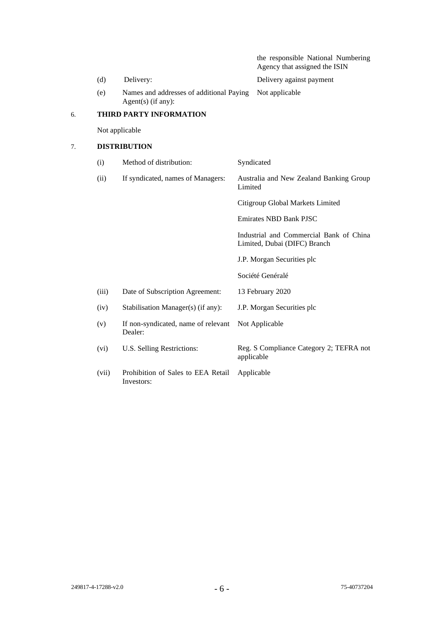|    |                         |                                                                                |                                  | the responsible National Numbering<br>Agency that assigned the ISIN     |  |  |  |  |  |
|----|-------------------------|--------------------------------------------------------------------------------|----------------------------------|-------------------------------------------------------------------------|--|--|--|--|--|
|    | (d)                     | Delivery:<br>Names and addresses of additional Paying<br>Agent $(s)$ (if any): |                                  | Delivery against payment                                                |  |  |  |  |  |
|    | (e)                     |                                                                                |                                  | Not applicable                                                          |  |  |  |  |  |
| 6. | THIRD PARTY INFORMATION |                                                                                |                                  |                                                                         |  |  |  |  |  |
|    | Not applicable          |                                                                                |                                  |                                                                         |  |  |  |  |  |
| 7. | <b>DISTRIBUTION</b>     |                                                                                |                                  |                                                                         |  |  |  |  |  |
|    | (i)                     | Method of distribution:                                                        |                                  | Syndicated                                                              |  |  |  |  |  |
|    | (ii)                    | If syndicated, names of Managers:                                              |                                  | Australia and New Zealand Banking Group<br>Limited                      |  |  |  |  |  |
|    |                         |                                                                                | Citigroup Global Markets Limited |                                                                         |  |  |  |  |  |
|    |                         |                                                                                |                                  | <b>Emirates NBD Bank PJSC</b>                                           |  |  |  |  |  |
|    |                         |                                                                                |                                  | Industrial and Commercial Bank of China<br>Limited, Dubai (DIFC) Branch |  |  |  |  |  |
|    |                         |                                                                                |                                  | J.P. Morgan Securities plc                                              |  |  |  |  |  |
|    |                         |                                                                                |                                  | Société Genéralé                                                        |  |  |  |  |  |
|    | (iii)                   | Date of Subscription Agreement:                                                |                                  | 13 February 2020                                                        |  |  |  |  |  |
|    | (iv)                    | Stabilisation Manager(s) (if any):                                             |                                  | J.P. Morgan Securities plc                                              |  |  |  |  |  |
|    | (v)                     | If non-syndicated, name of relevant<br>Dealer:                                 |                                  | Not Applicable                                                          |  |  |  |  |  |
|    | (vi)                    | U.S. Selling Restrictions:                                                     | applicable                       | Reg. S Compliance Category 2; TEFRA not                                 |  |  |  |  |  |
|    | (vii)                   | Prohibition of Sales to EEA Retail<br>Investors:                               |                                  | Applicable                                                              |  |  |  |  |  |